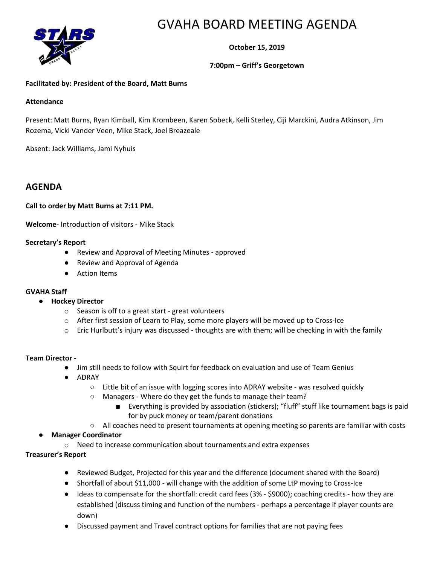

# GVAHA BOARD MEETING AGENDA

**October 15, 2019**

## **7:00pm – Griff's Georgetown**

## **Facilitated by: President of the Board, Matt Burns**

#### **Attendance**

Present: Matt Burns, Ryan Kimball, Kim Krombeen, Karen Sobeck, Kelli Sterley, Ciji Marckini, Audra Atkinson, Jim Rozema, Vicki Vander Veen, Mike Stack, Joel Breazeale

Absent: Jack Williams, Jami Nyhuis

## **AGENDA**

#### **Call to order by Matt Burns at 7:11 PM.**

**Welcome-** Introduction of visitors - Mike Stack

#### **Secretary's Report**

- Review and Approval of Meeting Minutes approved
- Review and Approval of Agenda
- Action Items

#### **GVAHA Staff**

- **Hockey Director**
	- o Season is off to a great start great volunteers
	- o After first session of Learn to Play, some more players will be moved up to Cross-Ice
	- $\circ$  Eric Hurlbutt's injury was discussed thoughts are with them; will be checking in with the family

#### **Team Director -**

- Jim still needs to follow with Squirt for feedback on evaluation and use of Team Genius
- ADRAY
	- Little bit of an issue with logging scores into ADRAY website was resolved quickly
	- Managers Where do they get the funds to manage their team?
		- Everything is provided by association (stickers); "fluff" stuff like tournament bags is paid for by puck money or team/parent donations
	- All coaches need to present tournaments at opening meeting so parents are familiar with costs
- **Manager Coordinator**

o Need to increase communication about tournaments and extra expenses

## **Treasurer's Report**

- Reviewed Budget, Projected for this year and the difference (document shared with the Board)
- Shortfall of about \$11,000 will change with the addition of some LtP moving to Cross-Ice
- Ideas to compensate for the shortfall: credit card fees (3% \$9000); coaching credits how they are established (discuss timing and function of the numbers - perhaps a percentage if player counts are down)
- Discussed payment and Travel contract options for families that are not paying fees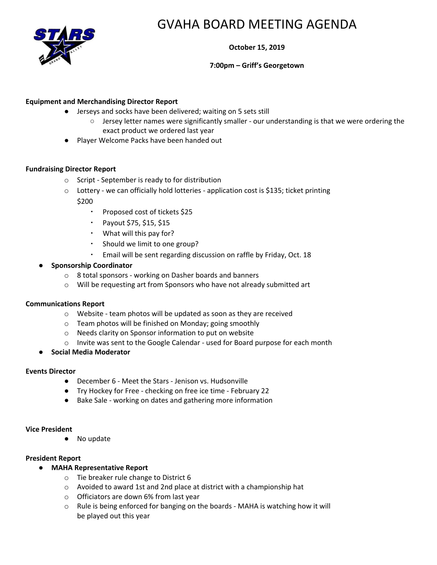

# GVAHA BOARD MEETING AGENDA

**October 15, 2019**

## **7:00pm – Griff's Georgetown**

## **Equipment and Merchandising Director Report**

- Jerseys and socks have been delivered; waiting on 5 sets still
	- Jersey letter names were significantly smaller our understanding is that we were ordering the exact product we ordered last year
- Player Welcome Packs have been handed out

## **Fundraising Director Report**

- o Script September is ready to for distribution
- o Lottery we can officially hold lotteries application cost is \$135; ticket printing \$200
	- Proposed cost of tickets \$25
	- Payout \$75, \$15, \$15
	- What will this pay for?
	- Should we limit to one group?
	- Email will be sent regarding discussion on raffle by Friday, Oct. 18

## ● **Sponsorship Coordinator**

- o 8 total sponsors working on Dasher boards and banners
- o Will be requesting art from Sponsors who have not already submitted art

#### **Communications Report**

- o Website team photos will be updated as soon as they are received
- o Team photos will be finished on Monday; going smoothly
- o Needs clarity on Sponsor information to put on website
- o Invite was sent to the Google Calendar used for Board purpose for each month
- **Social Media Moderator**

#### **Events Director**

- December 6 Meet the Stars Jenison vs. Hudsonville
- Try Hockey for Free checking on free ice time February 22
- Bake Sale working on dates and gathering more information

#### **Vice President**

● No update

#### **President Report**

- **MAHA Representative Report**
	- o Tie breaker rule change to District 6
	- o Avoided to award 1st and 2nd place at district with a championship hat
	- o Officiators are down 6% from last year
	- o Rule is being enforced for banging on the boards MAHA is watching how it will be played out this year